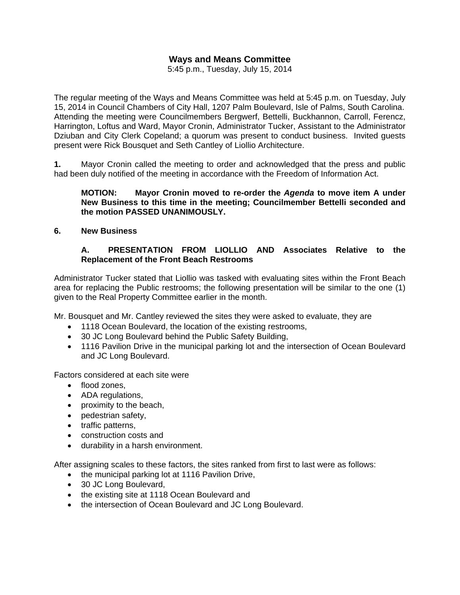# **Ways and Means Committee**

5:45 p.m., Tuesday, July 15, 2014

The regular meeting of the Ways and Means Committee was held at 5:45 p.m. on Tuesday, July 15, 2014 in Council Chambers of City Hall, 1207 Palm Boulevard, Isle of Palms, South Carolina. Attending the meeting were Councilmembers Bergwerf, Bettelli, Buckhannon, Carroll, Ferencz, Harrington, Loftus and Ward, Mayor Cronin, Administrator Tucker, Assistant to the Administrator Dziuban and City Clerk Copeland; a quorum was present to conduct business. Invited guests present were Rick Bousquet and Seth Cantley of Liollio Architecture.

**1.** Mayor Cronin called the meeting to order and acknowledged that the press and public had been duly notified of the meeting in accordance with the Freedom of Information Act.

### **MOTION: Mayor Cronin moved to re-order the** *Agenda* **to move item A under New Business to this time in the meeting; Councilmember Bettelli seconded and the motion PASSED UNANIMOUSLY.**

**6. New Business** 

# **A. PRESENTATION FROM LIOLLIO AND Associates Relative to the Replacement of the Front Beach Restrooms**

Administrator Tucker stated that Liollio was tasked with evaluating sites within the Front Beach area for replacing the Public restrooms; the following presentation will be similar to the one (1) given to the Real Property Committee earlier in the month.

Mr. Bousquet and Mr. Cantley reviewed the sites they were asked to evaluate, they are

- 1118 Ocean Boulevard, the location of the existing restrooms,
- 30 JC Long Boulevard behind the Public Safety Building,
- 1116 Pavilion Drive in the municipal parking lot and the intersection of Ocean Boulevard and JC Long Boulevard.

Factors considered at each site were

- flood zones,
- ADA regulations,
- proximity to the beach,
- pedestrian safety,
- traffic patterns,
- construction costs and
- durability in a harsh environment.

After assigning scales to these factors, the sites ranked from first to last were as follows:

- the municipal parking lot at 1116 Pavilion Drive,
- 30 JC Long Boulevard,
- the existing site at 1118 Ocean Boulevard and
- the intersection of Ocean Boulevard and JC Long Boulevard.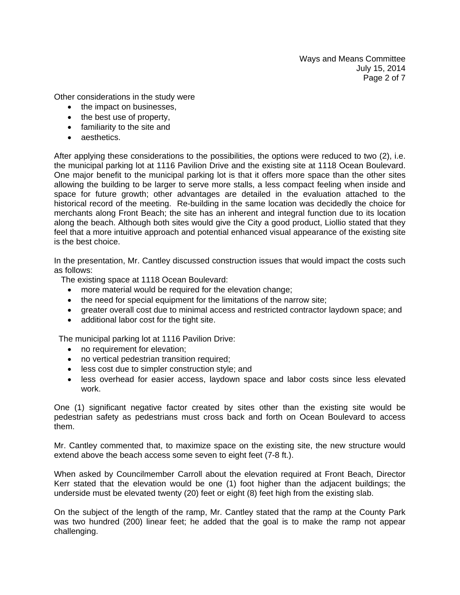Ways and Means Committee July 15, 2014 Page 2 of 7

Other considerations in the study were

- the impact on businesses,
- the best use of property,
- familiarity to the site and
- aesthetics.

After applying these considerations to the possibilities, the options were reduced to two (2), i.e. the municipal parking lot at 1116 Pavilion Drive and the existing site at 1118 Ocean Boulevard. One major benefit to the municipal parking lot is that it offers more space than the other sites allowing the building to be larger to serve more stalls, a less compact feeling when inside and space for future growth; other advantages are detailed in the evaluation attached to the historical record of the meeting. Re-building in the same location was decidedly the choice for merchants along Front Beach; the site has an inherent and integral function due to its location along the beach. Although both sites would give the City a good product, Liollio stated that they feel that a more intuitive approach and potential enhanced visual appearance of the existing site is the best choice.

In the presentation, Mr. Cantley discussed construction issues that would impact the costs such as follows:

The existing space at 1118 Ocean Boulevard:

- more material would be required for the elevation change;
- the need for special equipment for the limitations of the narrow site;
- greater overall cost due to minimal access and restricted contractor laydown space; and
- additional labor cost for the tight site.

The municipal parking lot at 1116 Pavilion Drive:

- no requirement for elevation;
- no vertical pedestrian transition required;
- less cost due to simpler construction style; and
- less overhead for easier access, laydown space and labor costs since less elevated work.

One (1) significant negative factor created by sites other than the existing site would be pedestrian safety as pedestrians must cross back and forth on Ocean Boulevard to access them.

Mr. Cantley commented that, to maximize space on the existing site, the new structure would extend above the beach access some seven to eight feet (7-8 ft.).

When asked by Councilmember Carroll about the elevation required at Front Beach, Director Kerr stated that the elevation would be one (1) foot higher than the adjacent buildings; the underside must be elevated twenty (20) feet or eight (8) feet high from the existing slab.

On the subject of the length of the ramp, Mr. Cantley stated that the ramp at the County Park was two hundred (200) linear feet; he added that the goal is to make the ramp not appear challenging.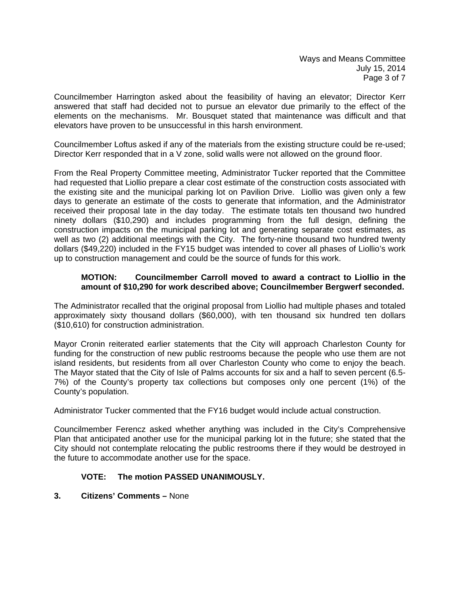Councilmember Harrington asked about the feasibility of having an elevator; Director Kerr answered that staff had decided not to pursue an elevator due primarily to the effect of the elements on the mechanisms. Mr. Bousquet stated that maintenance was difficult and that elevators have proven to be unsuccessful in this harsh environment.

Councilmember Loftus asked if any of the materials from the existing structure could be re-used; Director Kerr responded that in a V zone, solid walls were not allowed on the ground floor.

From the Real Property Committee meeting, Administrator Tucker reported that the Committee had requested that Liollio prepare a clear cost estimate of the construction costs associated with the existing site and the municipal parking lot on Pavilion Drive. Liollio was given only a few days to generate an estimate of the costs to generate that information, and the Administrator received their proposal late in the day today. The estimate totals ten thousand two hundred ninety dollars (\$10,290) and includes programming from the full design, defining the construction impacts on the municipal parking lot and generating separate cost estimates, as well as two (2) additional meetings with the City. The forty-nine thousand two hundred twenty dollars (\$49,220) included in the FY15 budget was intended to cover all phases of Liollio's work up to construction management and could be the source of funds for this work.

### **MOTION: Councilmember Carroll moved to award a contract to Liollio in the amount of \$10,290 for work described above; Councilmember Bergwerf seconded.**

The Administrator recalled that the original proposal from Liollio had multiple phases and totaled approximately sixty thousand dollars (\$60,000), with ten thousand six hundred ten dollars (\$10,610) for construction administration.

Mayor Cronin reiterated earlier statements that the City will approach Charleston County for funding for the construction of new public restrooms because the people who use them are not island residents, but residents from all over Charleston County who come to enjoy the beach. The Mayor stated that the City of Isle of Palms accounts for six and a half to seven percent (6.5- 7%) of the County's property tax collections but composes only one percent (1%) of the County's population.

Administrator Tucker commented that the FY16 budget would include actual construction.

Councilmember Ferencz asked whether anything was included in the City's Comprehensive Plan that anticipated another use for the municipal parking lot in the future; she stated that the City should not contemplate relocating the public restrooms there if they would be destroyed in the future to accommodate another use for the space.

# **VOTE: The motion PASSED UNANIMOUSLY.**

# **3. Citizens' Comments –** None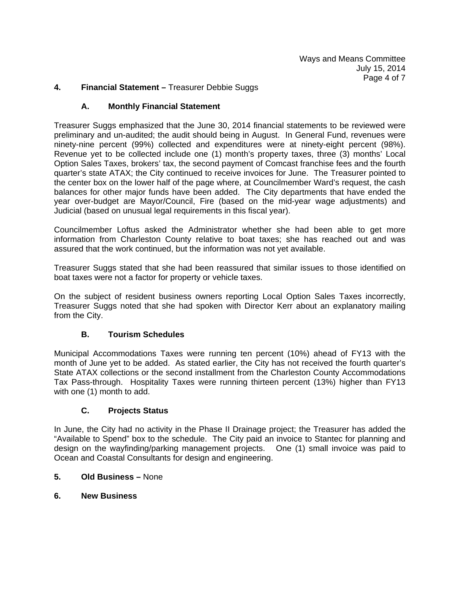# **4. Financial Statement –** Treasurer Debbie Suggs

#### **A. Monthly Financial Statement**

Treasurer Suggs emphasized that the June 30, 2014 financial statements to be reviewed were preliminary and un-audited; the audit should being in August. In General Fund, revenues were ninety-nine percent (99%) collected and expenditures were at ninety-eight percent (98%). Revenue yet to be collected include one (1) month's property taxes, three (3) months' Local Option Sales Taxes, brokers' tax, the second payment of Comcast franchise fees and the fourth quarter's state ATAX; the City continued to receive invoices for June. The Treasurer pointed to the center box on the lower half of the page where, at Councilmember Ward's request, the cash balances for other major funds have been added. The City departments that have ended the year over-budget are Mayor/Council, Fire (based on the mid-year wage adjustments) and Judicial (based on unusual legal requirements in this fiscal year).

Councilmember Loftus asked the Administrator whether she had been able to get more information from Charleston County relative to boat taxes; she has reached out and was assured that the work continued, but the information was not yet available.

Treasurer Suggs stated that she had been reassured that similar issues to those identified on boat taxes were not a factor for property or vehicle taxes.

On the subject of resident business owners reporting Local Option Sales Taxes incorrectly, Treasurer Suggs noted that she had spoken with Director Kerr about an explanatory mailing from the City.

# **B. Tourism Schedules**

Municipal Accommodations Taxes were running ten percent (10%) ahead of FY13 with the month of June yet to be added. As stated earlier, the City has not received the fourth quarter's State ATAX collections or the second installment from the Charleston County Accommodations Tax Pass-through. Hospitality Taxes were running thirteen percent (13%) higher than FY13 with one (1) month to add.

# **C. Projects Status**

In June, the City had no activity in the Phase II Drainage project; the Treasurer has added the "Available to Spend" box to the schedule. The City paid an invoice to Stantec for planning and design on the wayfinding/parking management projects. One (1) small invoice was paid to Ocean and Coastal Consultants for design and engineering.

#### **5. Old Business –** None

**6. New Business**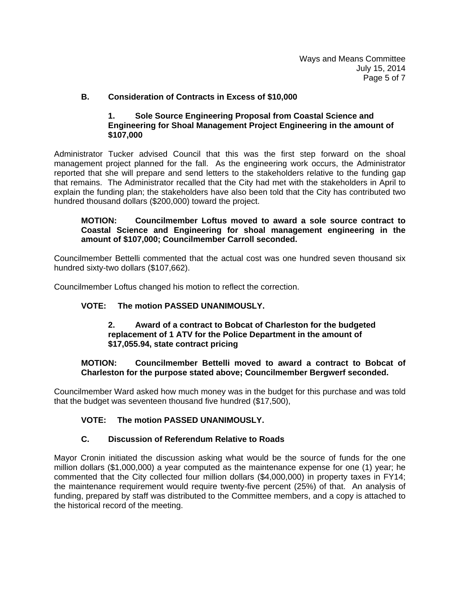# **B. Consideration of Contracts in Excess of \$10,000**

# **1. Sole Source Engineering Proposal from Coastal Science and Engineering for Shoal Management Project Engineering in the amount of \$107,000**

Administrator Tucker advised Council that this was the first step forward on the shoal management project planned for the fall. As the engineering work occurs, the Administrator reported that she will prepare and send letters to the stakeholders relative to the funding gap that remains. The Administrator recalled that the City had met with the stakeholders in April to explain the funding plan; the stakeholders have also been told that the City has contributed two hundred thousand dollars (\$200,000) toward the project.

### **MOTION: Councilmember Loftus moved to award a sole source contract to Coastal Science and Engineering for shoal management engineering in the amount of \$107,000; Councilmember Carroll seconded.**

Councilmember Bettelli commented that the actual cost was one hundred seven thousand six hundred sixty-two dollars (\$107,662).

Councilmember Loftus changed his motion to reflect the correction.

# **VOTE: The motion PASSED UNANIMOUSLY.**

### **2. Award of a contract to Bobcat of Charleston for the budgeted replacement of 1 ATV for the Police Department in the amount of \$17,055.94, state contract pricing**

# **MOTION: Councilmember Bettelli moved to award a contract to Bobcat of Charleston for the purpose stated above; Councilmember Bergwerf seconded.**

Councilmember Ward asked how much money was in the budget for this purchase and was told that the budget was seventeen thousand five hundred (\$17,500),

# **VOTE: The motion PASSED UNANIMOUSLY.**

# **C. Discussion of Referendum Relative to Roads**

Mayor Cronin initiated the discussion asking what would be the source of funds for the one million dollars (\$1,000,000) a year computed as the maintenance expense for one (1) year; he commented that the City collected four million dollars (\$4,000,000) in property taxes in FY14; the maintenance requirement would require twenty-five percent (25%) of that. An analysis of funding, prepared by staff was distributed to the Committee members, and a copy is attached to the historical record of the meeting.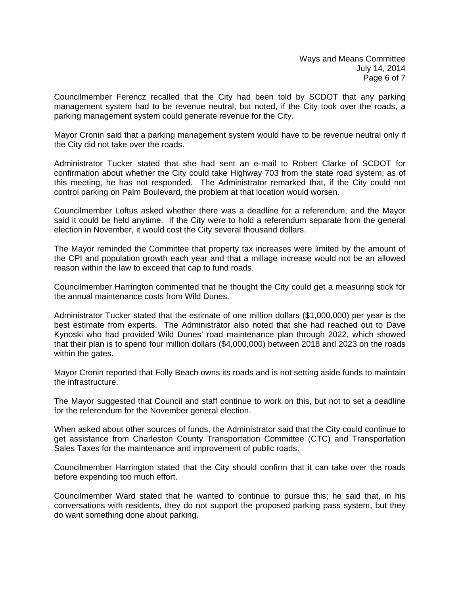Councilmember Ferencz recalled that the City had been told by SCDOT that any parking management system had to be revenue neutral, but noted, if the City took over the roads, a parking management system could generate revenue for the City.

Mayor Cronin said that a parking management system would have to be revenue neutral only if the City did not take over the roads.

Administrator Tucker stated that she had sent an e-mail to Robert Clarke of SCDOT for confirmation about whether the City could take Highway 703 from the state road system; as of this meeting, he has not responded. The Administrator remarked that, if the City could not control parking on Palm Boulevard, the problem at that location would worsen.

Councilmember Loftus asked whether there was a deadline for a referendum, and the Mayor said it could be held anytime. If the City were to hold a referendum separate from the general election in November, it would cost the City several thousand dollars.

The Mayor reminded the Committee that property tax increases were limited by the amount of the CPI and population growth each year and that a millage increase would not be an allowed reason within the law to exceed that cap to fund roads.

Councilmember Harrington commented that he thought the City could get a measuring stick for the annual maintenance costs from Wild Dunes.

Administrator Tucker stated that the estimate of one million dollars (\$1,000,000) per year is the best estimate from experts. The Administrator also noted that she had reached out to Dave Kynoski who had provided Wild Dunes' road maintenance plan through 2022, which showed that their plan is to spend four million dollars (\$4,000,000) between 2018 and 2023 on the roads within the gates.

Mayor Cronin reported that Folly Beach owns its roads and is not setting aside funds to maintain the infrastructure.

The Mayor suggested that Council and staff continue to work on this, but not to set a deadline for the referendum for the November general election.

When asked about other sources of funds, the Administrator said that the City could continue to get assistance from Charleston County Transportation Committee (CTC) and Transportation Sales Taxes for the maintenance and improvement of public roads.

Councilmember Harrington stated that the City should confirm that it can take over the roads before expending too much effort.

Councilmember Ward stated that he wanted to continue to pursue this; he said that, in his conversations with residents, they do not support the proposed parking pass system, but they do want something done about parking.